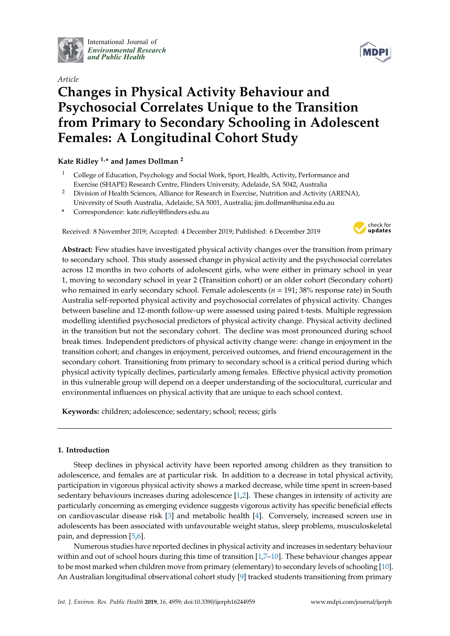

International Journal of *[Environmental Research](http://www.mdpi.com/journal/ijerph) and Public Health*

# *Article* **Changes in Physical Activity Behaviour and Psychosocial Correlates Unique to the Transition from Primary to Secondary Schooling in Adolescent Females: A Longitudinal Cohort Study**

# **Kate Ridley 1,\* and James Dollman <sup>2</sup>**

- <sup>1</sup> College of Education, Psychology and Social Work, Sport, Health, Activity, Performance and Exercise (SHAPE) Research Centre, Flinders University, Adelaide, SA 5042, Australia
- <sup>2</sup> Division of Health Sciences, Alliance for Research in Exercise, Nutrition and Activity (ARENA), University of South Australia, Adelaide, SA 5001, Australia; jim.dollman@unisa.edu.au
- **\*** Correspondence: kate.ridley@flinders.edu.au

Received: 8 November 2019; Accepted: 4 December 2019; Published: 6 December 2019



**Abstract:** Few studies have investigated physical activity changes over the transition from primary to secondary school. This study assessed change in physical activity and the psychosocial correlates across 12 months in two cohorts of adolescent girls, who were either in primary school in year 1, moving to secondary school in year 2 (Transition cohort) or an older cohort (Secondary cohort) who remained in early secondary school. Female adolescents (*n* = 191; 38% response rate) in South Australia self-reported physical activity and psychosocial correlates of physical activity. Changes between baseline and 12-month follow-up were assessed using paired t-tests. Multiple regression modelling identified psychosocial predictors of physical activity change. Physical activity declined in the transition but not the secondary cohort. The decline was most pronounced during school break times. Independent predictors of physical activity change were: change in enjoyment in the transition cohort; and changes in enjoyment, perceived outcomes, and friend encouragement in the secondary cohort. Transitioning from primary to secondary school is a critical period during which physical activity typically declines, particularly among females. Effective physical activity promotion in this vulnerable group will depend on a deeper understanding of the sociocultural, curricular and environmental influences on physical activity that are unique to each school context.

**Keywords:** children; adolescence; sedentary; school; recess; girls

## **1. Introduction**

Steep declines in physical activity have been reported among children as they transition to adolescence, and females are at particular risk. In addition to a decrease in total physical activity, participation in vigorous physical activity shows a marked decrease, while time spent in screen-based sedentary behaviours increases during adolescence [\[1,](#page-9-0)[2\]](#page-9-1). These changes in intensity of activity are particularly concerning as emerging evidence suggests vigorous activity has specific beneficial effects on cardiovascular disease risk [\[3\]](#page-9-2) and metabolic health [\[4\]](#page-9-3). Conversely, increased screen use in adolescents has been associated with unfavourable weight status, sleep problems, musculoskeletal pain, and depression [\[5](#page-9-4)[,6\]](#page-9-5).

Numerous studies have reported declines in physical activity and increases in sedentary behaviour within and out of school hours during this time of transition [\[1,](#page-9-0)[7–](#page-9-6)[10\]](#page-9-7). These behaviour changes appear to be most marked when children move from primary (elementary) to secondary levels of schooling [\[10\]](#page-9-7). An Australian longitudinal observational cohort study [\[9\]](#page-9-8) tracked students transitioning from primary

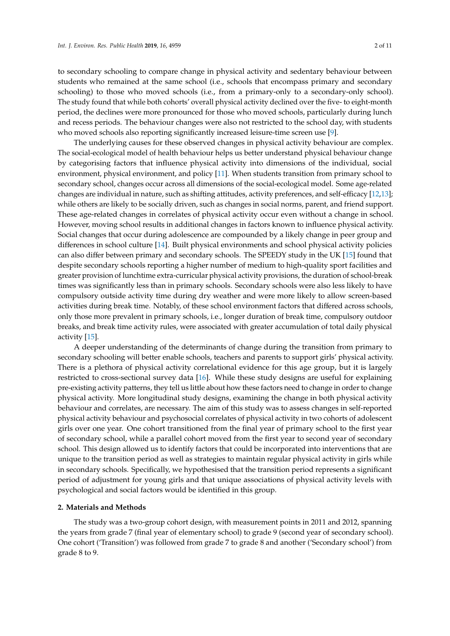to secondary schooling to compare change in physical activity and sedentary behaviour between students who remained at the same school (i.e., schools that encompass primary and secondary schooling) to those who moved schools (i.e., from a primary-only to a secondary-only school). The study found that while both cohorts' overall physical activity declined over the five- to eight-month period, the declines were more pronounced for those who moved schools, particularly during lunch and recess periods. The behaviour changes were also not restricted to the school day, with students who moved schools also reporting significantly increased leisure-time screen use [\[9\]](#page-9-8).

The underlying causes for these observed changes in physical activity behaviour are complex. The social-ecological model of health behaviour helps us better understand physical behaviour change by categorising factors that influence physical activity into dimensions of the individual, social environment, physical environment, and policy [\[11\]](#page-9-9). When students transition from primary school to secondary school, changes occur across all dimensions of the social-ecological model. Some age-related changes are individual in nature, such as shifting attitudes, activity preferences, and self-efficacy [\[12](#page-9-10)[,13\]](#page-9-11); while others are likely to be socially driven, such as changes in social norms, parent, and friend support. These age-related changes in correlates of physical activity occur even without a change in school. However, moving school results in additional changes in factors known to influence physical activity. Social changes that occur during adolescence are compounded by a likely change in peer group and differences in school culture [\[14\]](#page-9-12). Built physical environments and school physical activity policies can also differ between primary and secondary schools. The SPEEDY study in the UK [\[15\]](#page-9-13) found that despite secondary schools reporting a higher number of medium to high-quality sport facilities and greater provision of lunchtime extra-curricular physical activity provisions, the duration of school-break times was significantly less than in primary schools. Secondary schools were also less likely to have compulsory outside activity time during dry weather and were more likely to allow screen-based activities during break time. Notably, of these school environment factors that differed across schools, only those more prevalent in primary schools, i.e., longer duration of break time, compulsory outdoor breaks, and break time activity rules, were associated with greater accumulation of total daily physical activity [\[15\]](#page-9-13).

A deeper understanding of the determinants of change during the transition from primary to secondary schooling will better enable schools, teachers and parents to support girls' physical activity. There is a plethora of physical activity correlational evidence for this age group, but it is largely restricted to cross-sectional survey data [\[16\]](#page-10-0). While these study designs are useful for explaining pre-existing activity patterns, they tell us little about how these factors need to change in order to change physical activity. More longitudinal study designs, examining the change in both physical activity behaviour and correlates, are necessary. The aim of this study was to assess changes in self-reported physical activity behaviour and psychosocial correlates of physical activity in two cohorts of adolescent girls over one year. One cohort transitioned from the final year of primary school to the first year of secondary school, while a parallel cohort moved from the first year to second year of secondary school. This design allowed us to identify factors that could be incorporated into interventions that are unique to the transition period as well as strategies to maintain regular physical activity in girls while in secondary schools. Specifically, we hypothesised that the transition period represents a significant period of adjustment for young girls and that unique associations of physical activity levels with psychological and social factors would be identified in this group.

### **2. Materials and Methods**

The study was a two-group cohort design, with measurement points in 2011 and 2012, spanning the years from grade 7 (final year of elementary school) to grade 9 (second year of secondary school). One cohort ('Transition') was followed from grade 7 to grade 8 and another ('Secondary school') from grade 8 to 9.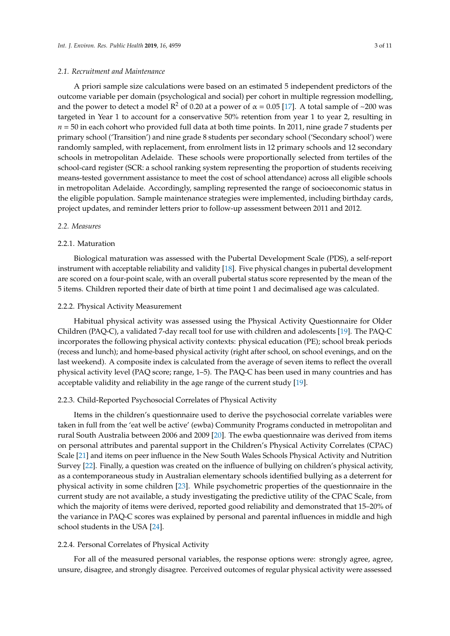#### *2.1. Recruitment and Maintenance*

A priori sample size calculations were based on an estimated 5 independent predictors of the outcome variable per domain (psychological and social) per cohort in multiple regression modelling, and the power to detect a model  $\mathbb{R}^2$  of 0.20 at a power of  $\alpha = 0.05$  [\[17\]](#page-10-1). A total sample of ~200 was targeted in Year 1 to account for a conservative 50% retention from year 1 to year 2, resulting in *n* = 50 in each cohort who provided full data at both time points. In 2011, nine grade 7 students per primary school ('Transition') and nine grade 8 students per secondary school ('Secondary school') were randomly sampled, with replacement, from enrolment lists in 12 primary schools and 12 secondary schools in metropolitan Adelaide. These schools were proportionally selected from tertiles of the school-card register (SCR: a school ranking system representing the proportion of students receiving means-tested government assistance to meet the cost of school attendance) across all eligible schools in metropolitan Adelaide. Accordingly, sampling represented the range of socioeconomic status in the eligible population. Sample maintenance strategies were implemented, including birthday cards, project updates, and reminder letters prior to follow-up assessment between 2011 and 2012.

#### *2.2. Measures*

### 2.2.1. Maturation

Biological maturation was assessed with the Pubertal Development Scale (PDS), a self-report instrument with acceptable reliability and validity [\[18\]](#page-10-2). Five physical changes in pubertal development are scored on a four-point scale, with an overall pubertal status score represented by the mean of the 5 items. Children reported their date of birth at time point 1 and decimalised age was calculated.

#### 2.2.2. Physical Activity Measurement

Habitual physical activity was assessed using the Physical Activity Questionnaire for Older Children (PAQ-C), a validated 7-day recall tool for use with children and adolescents [\[19\]](#page-10-3). The PAQ-C incorporates the following physical activity contexts: physical education (PE); school break periods (recess and lunch); and home-based physical activity (right after school, on school evenings, and on the last weekend). A composite index is calculated from the average of seven items to reflect the overall physical activity level (PAQ score; range, 1–5). The PAQ-C has been used in many countries and has acceptable validity and reliability in the age range of the current study [\[19\]](#page-10-3).

#### 2.2.3. Child-Reported Psychosocial Correlates of Physical Activity

Items in the children's questionnaire used to derive the psychosocial correlate variables were taken in full from the 'eat well be active' (ewba) Community Programs conducted in metropolitan and rural South Australia between 2006 and 2009 [\[20\]](#page-10-4). The ewba questionnaire was derived from items on personal attributes and parental support in the Children's Physical Activity Correlates (CPAC) Scale [\[21\]](#page-10-5) and items on peer influence in the New South Wales Schools Physical Activity and Nutrition Survey [\[22\]](#page-10-6). Finally, a question was created on the influence of bullying on children's physical activity, as a contemporaneous study in Australian elementary schools identified bullying as a deterrent for physical activity in some children [\[23\]](#page-10-7). While psychometric properties of the questionnaire in the current study are not available, a study investigating the predictive utility of the CPAC Scale, from which the majority of items were derived, reported good reliability and demonstrated that 15–20% of the variance in PAQ-C scores was explained by personal and parental influences in middle and high school students in the USA [\[24\]](#page-10-8).

#### 2.2.4. Personal Correlates of Physical Activity

For all of the measured personal variables, the response options were: strongly agree, agree, unsure, disagree, and strongly disagree. Perceived outcomes of regular physical activity were assessed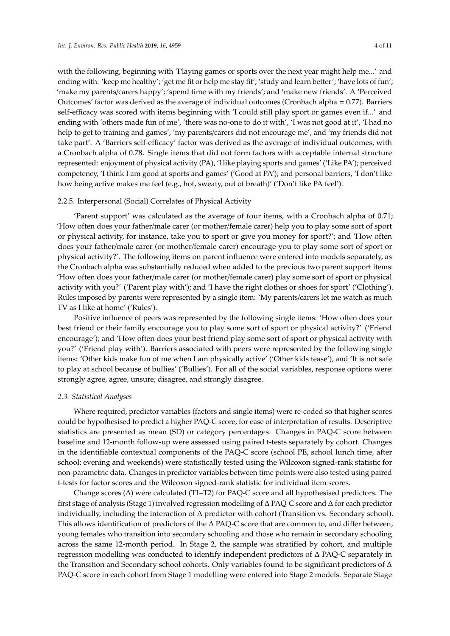with the following, beginning with 'Playing games or sports over the next year might help me...' and ending with: 'keep me healthy'; 'get me fit or help me stay fit'; 'study and learn better'; 'have lots of fun'; 'make my parents/carers happy'; 'spend time with my friends'; and 'make new friends'. A 'Perceived Outcomes' factor was derived as the average of individual outcomes (Cronbach alpha = 0.77). Barriers self-efficacy was scored with items beginning with 'I could still play sport or games even if...' and ending with 'others made fun of me', 'there was no-one to do it with', 'I was not good at it', 'I had no help to get to training and games', 'my parents/carers did not encourage me', and 'my friends did not take part'. A 'Barriers self-efficacy' factor was derived as the average of individual outcomes, with a Cronbach alpha of 0.78. Single items that did not form factors with acceptable internal structure represented: enjoyment of physical activity (PA), 'I like playing sports and games' ('Like PA'); perceived competency, 'I think I am good at sports and games' ('Good at PA'); and personal barriers, 'I don't like how being active makes me feel (e.g., hot, sweaty, out of breath)' ('Don't like PA feel').

#### 2.2.5. Interpersonal (Social) Correlates of Physical Activity

'Parent support' was calculated as the average of four items, with a Cronbach alpha of 0.71; 'How often does your father/male carer (or mother/female carer) help you to play some sort of sport or physical activity, for instance, take you to sport or give you money for sport?'; and 'How often does your father/male carer (or mother/female carer) encourage you to play some sort of sport or physical activity?'. The following items on parent influence were entered into models separately, as the Cronbach alpha was substantially reduced when added to the previous two parent support items: 'How often does your father/male carer (or mother/female carer) play some sort of sport or physical activity with you?' ('Parent play with'); and 'I have the right clothes or shoes for sport' ('Clothing'). Rules imposed by parents were represented by a single item: 'My parents/carers let me watch as much TV as I like at home' ('Rules').

Positive influence of peers was represented by the following single items: 'How often does your best friend or their family encourage you to play some sort of sport or physical activity?' ('Friend encourage'); and 'How often does your best friend play some sort of sport or physical activity with you?' ('Friend play with'). Barriers associated with peers were represented by the following single items: 'Other kids make fun of me when I am physically active' ('Other kids tease'), and 'It is not safe to play at school because of bullies' ('Bullies'). For all of the social variables, response options were: strongly agree, agree, unsure; disagree, and strongly disagree.

#### *2.3. Statistical Analyses*

Where required, predictor variables (factors and single items) were re-coded so that higher scores could be hypothesised to predict a higher PAQ-C score, for ease of interpretation of results. Descriptive statistics are presented as mean (SD) or category percentages. Changes in PAQ-C score between baseline and 12-month follow-up were assessed using paired t-tests separately by cohort. Changes in the identifiable contextual components of the PAQ-C score (school PE, school lunch time, after school; evening and weekends) were statistically tested using the Wilcoxon signed-rank statistic for non-parametric data. Changes in predictor variables between time points were also tested using paired t-tests for factor scores and the Wilcoxon signed-rank statistic for individual item scores.

Change scores (∆) were calculated (T1–T2) for PAQ-C score and all hypothesised predictors. The first stage of analysis (Stage 1) involved regression modelling of ∆ PAQ-C score and ∆ for each predictor individually, including the interaction of ∆ predictor with cohort (Transition vs. Secondary school). This allows identification of predictors of the ∆ PAQ-C score that are common to, and differ between, young females who transition into secondary schooling and those who remain in secondary schooling across the same 12-month period. In Stage 2, the sample was stratified by cohort, and multiple regression modelling was conducted to identify independent predictors of ∆ PAQ-C separately in the Transition and Secondary school cohorts. Only variables found to be significant predictors of ∆ PAQ-C score in each cohort from Stage 1 modelling were entered into Stage 2 models. Separate Stage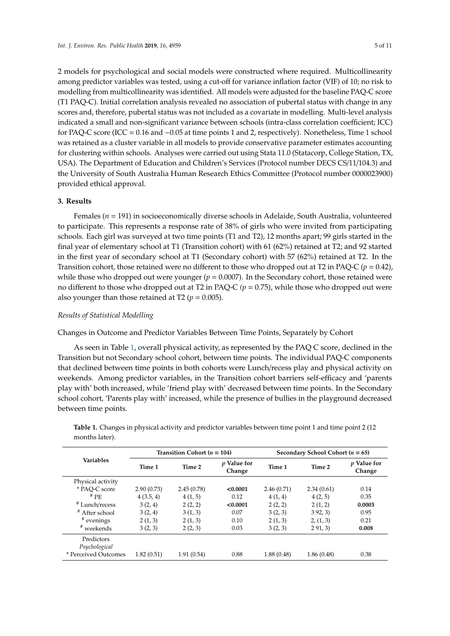2 models for psychological and social models were constructed where required. Multicollinearity among predictor variables was tested, using a cut-off for variance inflation factor (VIF) of 10; no risk to modelling from multicollinearity was identified. All models were adjusted for the baseline PAQ-C score (T1 PAQ-C). Initial correlation analysis revealed no association of pubertal status with change in any scores and, therefore, pubertal status was not included as a covariate in modelling. Multi-level analysis indicated a small and non-significant variance between schools (intra-class correlation coefficient; ICC) for PAQ-C score (ICC = 0.16 and −0.05 at time points 1 and 2, respectively). Nonetheless, Time 1 school was retained as a cluster variable in all models to provide conservative parameter estimates accounting for clustering within schools. Analyses were carried out using Stata 11.0 (Statacorp, College Station, TX, USA). The Department of Education and Children's Services (Protocol number DECS CS/11/104.3) and the University of South Australia Human Research Ethics Committee (Protocol number 0000023900) provided ethical approval.

## **3. Results**

Females (*n* = 191) in socioeconomically diverse schools in Adelaide, South Australia, volunteered to participate. This represents a response rate of 38% of girls who were invited from participating schools. Each girl was surveyed at two time points (T1 and T2), 12 months apart; 99 girls started in the final year of elementary school at T1 (Transition cohort) with 61 (62%) retained at T2; and 92 started in the first year of secondary school at T1 (Secondary cohort) with 57 (62%) retained at T2. In the Transition cohort, those retained were no different to those who dropped out at T2 in PAQ-C ( $p = 0.42$ ), while those who dropped out were younger  $(p = 0.0007)$ . In the Secondary cohort, those retained were no different to those who dropped out at T2 in PAQ-C *(p* = 0.75), while those who dropped out were also younger than those retained at T2 ( $p = 0.005$ ).

## *Results of Statistical Modelling*

Changes in Outcome and Predictor Variables Between Time Points, Separately by Cohort

As seen in Table [1,](#page-5-0) overall physical activity, as represented by the PAQ C score, declined in the Transition but not Secondary school cohort, between time points. The individual PAQ-C components that declined between time points in both cohorts were Lunch/recess play and physical activity on weekends. Among predictor variables, in the Transition cohort barriers self-efficacy and 'parents play with' both increased, while 'friend play with' decreased between time points. In the Secondary school cohort, 'Parents play with' increased, while the presence of bullies in the playground decreased between time points.

|                             |            | Transition Cohort ( $n = 104$ ) |                              | Secondary School Cohort ( $n = 65$ ) |            |                              |  |  |  |
|-----------------------------|------------|---------------------------------|------------------------------|--------------------------------------|------------|------------------------------|--|--|--|
| <b>Variables</b>            | Time 1     | Time 2                          | <i>v</i> Value for<br>Change | Time 1                               | Time 2     | <i>p</i> Value for<br>Change |  |  |  |
| Physical activity           |            |                                 |                              |                                      |            |                              |  |  |  |
| * PAO-C score               | 2.90(0.73) | 2.45(0.78)                      | < 0.0001                     | 2.46(0.71)                           | 2.34(0.61) | 0.14                         |  |  |  |
| $#$ PE                      | 4(3.5, 4)  | 4(1, 5)                         | 0.12                         | 4(1, 4)                              | 4(2, 5)    | 0.35                         |  |  |  |
| # Lunch/recess              | 3(2, 4)    | 2(2, 2)                         | < 0.0001                     | 2(2, 2)                              | 2(1, 2)    | 0.0003                       |  |  |  |
| # After school              | 3(2, 4)    | 3(1, 3)                         | 0.07                         | 3(2, 3)                              | 392, 3     | 0.95                         |  |  |  |
| # evenings                  | 2(1, 3)    | 2(1, 3)                         | 0.10                         | 2(1, 3)                              | 2, (1, 3)  | 0.21                         |  |  |  |
| # weekends                  | 3(2, 3)    | 2(2, 3)                         | 0.03                         | 3(2, 3)                              | 291,3      | 0.008                        |  |  |  |
| Predictors<br>Psychological |            |                                 |                              |                                      |            |                              |  |  |  |
| * Perceived Outcomes        | 1.82(0.51) | 1.91(0.54)                      | 0.88                         | 1.88(0.48)                           | 1.86(0.48) | 0.38                         |  |  |  |

**Table 1.** Changes in physical activity and predictor variables between time point 1 and time point 2 (12 months later).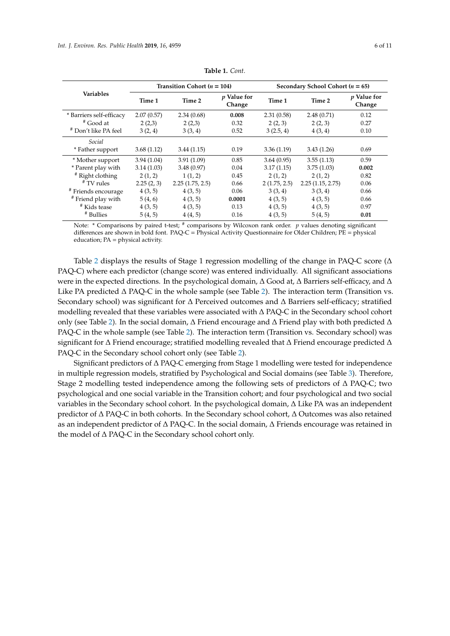<span id="page-5-0"></span>

|                                |            | Transition Cohort ( $n = 104$ ) |                       | Secondary School Cohort ( $n = 65$ ) |                  |                              |  |  |  |
|--------------------------------|------------|---------------------------------|-----------------------|--------------------------------------|------------------|------------------------------|--|--|--|
| <b>Variables</b>               | Time 1     | Time 2                          | p Value for<br>Change | Time 1                               | Time 2           | <i>p</i> Value for<br>Change |  |  |  |
| * Barriers self-efficacy       | 2.07(0.57) | 2.34(0.68)                      | 0.008                 | 2.31(0.58)                           | 2.48(0.71)       | 0.12                         |  |  |  |
| # Good at                      | 2(2,3)     | 2(2,3)                          | 0.32                  | 2(2, 3)                              | 2(2, 3)          | 0.27                         |  |  |  |
| # Don't like PA feel           | 3(2, 4)    | 3(3, 4)                         | 0.52                  | 3(2.5, 4)                            | 4(3, 4)          | 0.10                         |  |  |  |
| Social                         |            |                                 |                       |                                      |                  |                              |  |  |  |
| * Father support<br>3.68(1.12) |            | 3.44(1.15)                      | 0.19                  | 3.36(1.19)                           | 3.43(1.26)       | 0.69                         |  |  |  |
| * Mother support               | 3.94(1.04) | 3.91(1.09)                      | 0.85                  | 3.64(0.95)                           | 3.55(1.13)       | 0.59                         |  |  |  |
| * Parent play with             | 3.14(1.03) | 3.48(0.97)                      | 0.04                  | 3.17(1.15)                           | 3.75(1.03)       | 0.002                        |  |  |  |
| # Right clothing               | 2(1, 2)    | 1(1, 2)                         | 0.45                  | 2(1, 2)                              | 2(1, 2)          | 0.82                         |  |  |  |
| # TV rules                     | 2.25(2, 3) | 2.25(1.75, 2.5)                 | 0.66                  | 2(1.75, 2.5)                         | 2.25(1.15, 2.75) | 0.06                         |  |  |  |
| # Friends encourage            | 4(3, 5)    | 4(3, 5)                         | 0.06                  | 3(3, 4)                              | 3(3, 4)          | 0.66                         |  |  |  |
| # Friend play with             | 5(4, 6)    | 4(3, 5)                         | 0.0001                | 4(3, 5)                              | 4(3, 5)          | 0.66                         |  |  |  |
| <sup>#</sup> Kids tease        | 4(3, 5)    | 4(3, 5)                         | 0.13                  | 4(3, 5)                              | 4(3, 5)          | 0.97                         |  |  |  |
| # Bullies                      | 5(4, 5)    | 4(4,5)                          | 0.16                  | 4(3, 5)                              | 5(4, 5)          | 0.01                         |  |  |  |

**Table 1.** *Cont.*

Note: \* Comparisons by paired t-test; # comparisons by Wilcoxon rank order. *p* values denoting significant differences are shown in bold font. PAQ-C = Physical Activity Questionnaire for Older Children; PE = physical education; PA = physical activity.

Table [2](#page-6-0) displays the results of Stage 1 regression modelling of the change in PAQ-C score ( $\Delta$ PAQ-C) where each predictor (change score) was entered individually. All significant associations were in the expected directions. In the psychological domain, ∆ Good at, ∆ Barriers self-efficacy, and ∆ Like PA predicted ∆ PAQ-C in the whole sample (see Table [2\)](#page-6-0). The interaction term (Transition vs. Secondary school) was significant for ∆ Perceived outcomes and ∆ Barriers self-efficacy; stratified modelling revealed that these variables were associated with ∆ PAQ-C in the Secondary school cohort only (see Table [2\)](#page-6-0). In the social domain, ∆ Friend encourage and ∆ Friend play with both predicted ∆ PAQ-C in the whole sample (see Table [2\)](#page-6-0). The interaction term (Transition vs. Secondary school) was significant for ∆ Friend encourage; stratified modelling revealed that ∆ Friend encourage predicted ∆ PAQ-C in the Secondary school cohort only (see Table [2\)](#page-6-0).

Significant predictors of ∆ PAQ-C emerging from Stage 1 modelling were tested for independence in multiple regression models, stratified by Psychological and Social domains (see Table [3\)](#page-7-0). Therefore, Stage 2 modelling tested independence among the following sets of predictors of ∆ PAQ-C; two psychological and one social variable in the Transition cohort; and four psychological and two social variables in the Secondary school cohort. In the psychological domain, ∆ Like PA was an independent predictor of ∆ PAQ-C in both cohorts. In the Secondary school cohort, ∆ Outcomes was also retained as an independent predictor of ∆ PAQ-C. In the social domain, ∆ Friends encourage was retained in the model of ∆ PAQ-C in the Secondary school cohort only.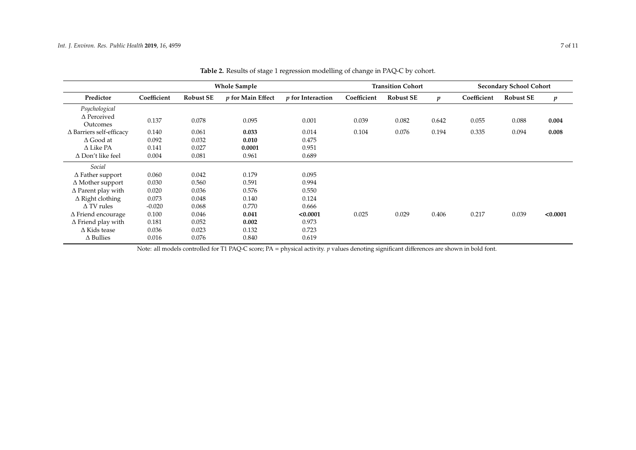|                                 |             |                  | <b>Whole Sample</b> |                          |             | <b>Transition Cohort</b> |                  | <b>Secondary School Cohort</b> |                  |                  |  |
|---------------------------------|-------------|------------------|---------------------|--------------------------|-------------|--------------------------|------------------|--------------------------------|------------------|------------------|--|
| Predictor                       | Coefficient | <b>Robust SE</b> | p for Main Effect   | <i>p</i> for Interaction | Coefficient | <b>Robust SE</b>         | $\boldsymbol{p}$ | Coefficient                    | <b>Robust SE</b> | $\boldsymbol{p}$ |  |
| Psychological                   |             |                  |                     |                          |             |                          |                  |                                |                  |                  |  |
| $\Delta$ Perceived              | 0.137       | 0.078            | 0.095               | 0.001                    | 0.039       | 0.082                    | 0.642            | 0.055                          | 0.088            | 0.004            |  |
| Outcomes                        |             |                  |                     |                          |             |                          |                  |                                |                  |                  |  |
| $\Delta$ Barriers self-efficacy | 0.140       | 0.061            | 0.033               | 0.014                    | 0.104       | 0.076                    | 0.194            | 0.335                          | 0.094            | 0.008            |  |
| $\Delta$ Good at                | 0.092       | 0.032            | 0.010               | 0.475                    |             |                          |                  |                                |                  |                  |  |
| $\Delta$ Like PA                | 0.141       | 0.027            | 0.0001              | 0.951                    |             |                          |                  |                                |                  |                  |  |
| $\Delta$ Don't like feel        | 0.004       | 0.081            | 0.961               | 0.689                    |             |                          |                  |                                |                  |                  |  |
| Social                          |             |                  |                     |                          |             |                          |                  |                                |                  |                  |  |
| $\Delta$ Father support         | 0.060       | 0.042            | 0.179               | 0.095                    |             |                          |                  |                                |                  |                  |  |
| $\Delta$ Mother support         | 0.030       | 0.560            | 0.591               | 0.994                    |             |                          |                  |                                |                  |                  |  |
| $\Delta$ Parent play with       | 0.020       | 0.036            | 0.576               | 0.550                    |             |                          |                  |                                |                  |                  |  |
| $\Delta$ Right clothing         | 0.073       | 0.048            | 0.140               | 0.124                    |             |                          |                  |                                |                  |                  |  |
| $\Delta$ TV rules               | $-0.020$    | 0.068            | 0.770               | 0.666                    |             |                          |                  |                                |                  |                  |  |
| $\Delta$ Friend encourage       | 0.100       | 0.046            | 0.041               | < 0.0001                 | 0.025       | 0.029                    | 0.406            | 0.217                          | 0.039            | < 0.0001         |  |
| $\Delta$ Friend play with       | 0.181       | 0.052            | 0.002               | 0.973                    |             |                          |                  |                                |                  |                  |  |
| $\Delta$ Kids tease             | 0.036       | 0.023            | 0.132               | 0.723                    |             |                          |                  |                                |                  |                  |  |
| $\Delta$ Bullies                | 0.016       | 0.076            | 0.840               | 0.619                    |             |                          |                  |                                |                  |                  |  |

**Table 2.** Results of stage 1 regression modelling of change in PAQ-C by cohort.

<span id="page-6-0"></span>Note: all models controlled for T1 PAQ-C score; PA = physical activity. *p* values denoting significant differences are shown in bold font.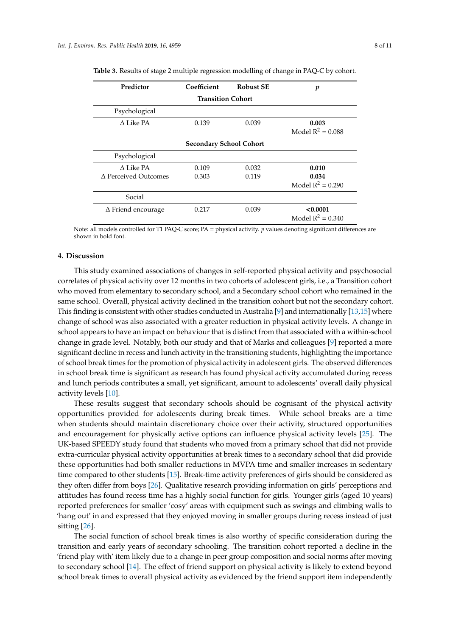| Predictor                 | Coefficient                    | <b>Robust SE</b> | p                               |
|---------------------------|--------------------------------|------------------|---------------------------------|
|                           | <b>Transition Cohort</b>       |                  |                                 |
| Psychological             |                                |                  |                                 |
| A Like PA                 | 0.139                          | 0.039            | 0.003<br>Model $R^2 = 0.088$    |
|                           | <b>Secondary School Cohort</b> |                  |                                 |
| Psychological             |                                |                  |                                 |
| A Like PA                 | 0.109                          | 0.032            | 0.010                           |
| A Perceived Outcomes      | 0.303                          | 0.119            | 0.034<br>Model $R^2 = 0.290$    |
| Social                    |                                |                  |                                 |
| $\Delta$ Friend encourage | 0.217                          | 0.039            | < 0.0001<br>Model $R^2 = 0.340$ |

<span id="page-7-0"></span>

|  |  |  |  |  |  |  | <b>Table 3.</b> Results of stage 2 multiple regression modelling of change in PAQ-C by cohort. |  |  |  |  |  |  |  |  |
|--|--|--|--|--|--|--|------------------------------------------------------------------------------------------------|--|--|--|--|--|--|--|--|
|--|--|--|--|--|--|--|------------------------------------------------------------------------------------------------|--|--|--|--|--|--|--|--|

Note: all models controlled for T1 PAQ-C score; PA = physical activity. *p* values denoting significant differences are shown in bold font.

## **4. Discussion**

This study examined associations of changes in self-reported physical activity and psychosocial correlates of physical activity over 12 months in two cohorts of adolescent girls, i.e., a Transition cohort who moved from elementary to secondary school, and a Secondary school cohort who remained in the same school. Overall, physical activity declined in the transition cohort but not the secondary cohort. This finding is consistent with other studies conducted in Australia [\[9\]](#page-9-8) and internationally [\[13](#page-9-11)[,15\]](#page-9-13) where change of school was also associated with a greater reduction in physical activity levels. A change in school appears to have an impact on behaviour that is distinct from that associated with a within-school change in grade level. Notably, both our study and that of Marks and colleagues [\[9\]](#page-9-8) reported a more significant decline in recess and lunch activity in the transitioning students, highlighting the importance of school break times for the promotion of physical activity in adolescent girls. The observed differences in school break time is significant as research has found physical activity accumulated during recess and lunch periods contributes a small, yet significant, amount to adolescents' overall daily physical activity levels [\[10\]](#page-9-7).

These results suggest that secondary schools should be cognisant of the physical activity opportunities provided for adolescents during break times. While school breaks are a time when students should maintain discretionary choice over their activity, structured opportunities and encouragement for physically active options can influence physical activity levels [\[25\]](#page-10-9). The UK-based SPEEDY study found that students who moved from a primary school that did not provide extra-curricular physical activity opportunities at break times to a secondary school that did provide these opportunities had both smaller reductions in MVPA time and smaller increases in sedentary time compared to other students [\[15\]](#page-9-13). Break-time activity preferences of girls should be considered as they often differ from boys [\[26\]](#page-10-10). Qualitative research providing information on girls' perceptions and attitudes has found recess time has a highly social function for girls. Younger girls (aged 10 years) reported preferences for smaller 'cosy' areas with equipment such as swings and climbing walls to 'hang out' in and expressed that they enjoyed moving in smaller groups during recess instead of just sitting [\[26\]](#page-10-10).

The social function of school break times is also worthy of specific consideration during the transition and early years of secondary schooling. The transition cohort reported a decline in the 'friend play with' item likely due to a change in peer group composition and social norms after moving to secondary school [\[14\]](#page-9-12). The effect of friend support on physical activity is likely to extend beyond school break times to overall physical activity as evidenced by the friend support item independently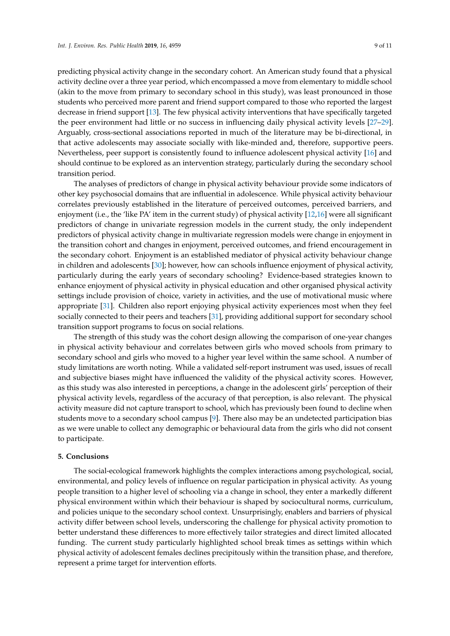predicting physical activity change in the secondary cohort. An American study found that a physical activity decline over a three year period, which encompassed a move from elementary to middle school (akin to the move from primary to secondary school in this study), was least pronounced in those students who perceived more parent and friend support compared to those who reported the largest decrease in friend support [\[13\]](#page-9-11). The few physical activity interventions that have specifically targeted the peer environment had little or no success in influencing daily physical activity levels [\[27–](#page-10-11)[29\]](#page-10-12). Arguably, cross-sectional associations reported in much of the literature may be bi-directional, in that active adolescents may associate socially with like-minded and, therefore, supportive peers. Nevertheless, peer support is consistently found to influence adolescent physical activity [\[16\]](#page-10-0) and should continue to be explored as an intervention strategy, particularly during the secondary school transition period.

The analyses of predictors of change in physical activity behaviour provide some indicators of other key psychosocial domains that are influential in adolescence. While physical activity behaviour correlates previously established in the literature of perceived outcomes, perceived barriers, and enjoyment (i.e., the 'like PA' item in the current study) of physical activity [\[12](#page-9-10)[,16\]](#page-10-0) were all significant predictors of change in univariate regression models in the current study, the only independent predictors of physical activity change in multivariate regression models were change in enjoyment in the transition cohort and changes in enjoyment, perceived outcomes, and friend encouragement in the secondary cohort. Enjoyment is an established mediator of physical activity behaviour change in children and adolescents [\[30\]](#page-10-13); however, how can schools influence enjoyment of physical activity, particularly during the early years of secondary schooling? Evidence-based strategies known to enhance enjoyment of physical activity in physical education and other organised physical activity settings include provision of choice, variety in activities, and the use of motivational music where appropriate [\[31\]](#page-10-14). Children also report enjoying physical activity experiences most when they feel socially connected to their peers and teachers [\[31\]](#page-10-14), providing additional support for secondary school transition support programs to focus on social relations.

The strength of this study was the cohort design allowing the comparison of one-year changes in physical activity behaviour and correlates between girls who moved schools from primary to secondary school and girls who moved to a higher year level within the same school. A number of study limitations are worth noting. While a validated self-report instrument was used, issues of recall and subjective biases might have influenced the validity of the physical activity scores. However, as this study was also interested in perceptions, a change in the adolescent girls' perception of their physical activity levels, regardless of the accuracy of that perception, is also relevant. The physical activity measure did not capture transport to school, which has previously been found to decline when students move to a secondary school campus [\[9\]](#page-9-8). There also may be an undetected participation bias as we were unable to collect any demographic or behavioural data from the girls who did not consent to participate.

#### **5. Conclusions**

The social-ecological framework highlights the complex interactions among psychological, social, environmental, and policy levels of influence on regular participation in physical activity. As young people transition to a higher level of schooling via a change in school, they enter a markedly different physical environment within which their behaviour is shaped by sociocultural norms, curriculum, and policies unique to the secondary school context. Unsurprisingly, enablers and barriers of physical activity differ between school levels, underscoring the challenge for physical activity promotion to better understand these differences to more effectively tailor strategies and direct limited allocated funding. The current study particularly highlighted school break times as settings within which physical activity of adolescent females declines precipitously within the transition phase, and therefore, represent a prime target for intervention efforts.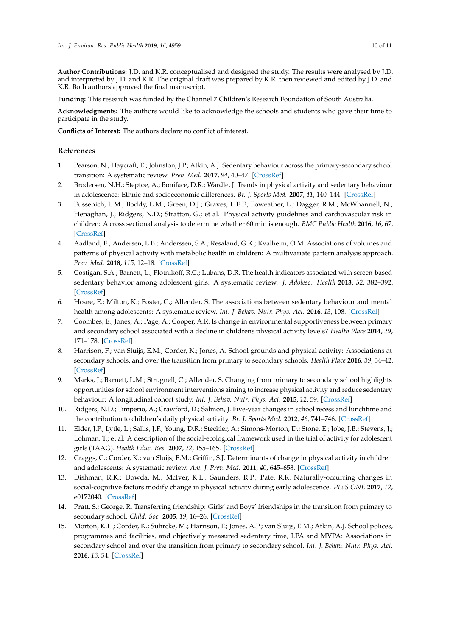**Author Contributions:** J.D. and K.R. conceptualised and designed the study. The results were analysed by J.D. and interpreted by J.D. and K.R. The original draft was prepared by K.R. then reviewed and edited by J.D. and K.R. Both authors approved the final manuscript.

**Funding:** This research was funded by the Channel 7 Children's Research Foundation of South Australia.

**Acknowledgments:** The authors would like to acknowledge the schools and students who gave their time to participate in the study.

**Conflicts of Interest:** The authors declare no conflict of interest.

# **References**

- <span id="page-9-0"></span>1. Pearson, N.; Haycraft, E.; Johnston, J.P.; Atkin, A.J. Sedentary behaviour across the primary-secondary school transition: A systematic review. *Prev. Med.* **2017**, *94*, 40–47. [\[CrossRef\]](http://dx.doi.org/10.1016/j.ypmed.2016.11.010)
- <span id="page-9-1"></span>2. Brodersen, N.H.; Steptoe, A.; Boniface, D.R.; Wardle, J. Trends in physical activity and sedentary behaviour in adolescence: Ethnic and socioeconomic differences. *Br. J. Sports Med.* **2007**, *41*, 140–144. [\[CrossRef\]](http://dx.doi.org/10.1136/bjsm.2006.031138)
- <span id="page-9-2"></span>3. Fussenich, L.M.; Boddy, L.M.; Green, D.J.; Graves, L.E.F.; Foweather, L.; Dagger, R.M.; McWhannell, N.; Henaghan, J.; Ridgers, N.D.; Stratton, G.; et al. Physical activity guidelines and cardiovascular risk in children: A cross sectional analysis to determine whether 60 min is enough. *BMC Public Health* **2016**, *16*, 67. [\[CrossRef\]](http://dx.doi.org/10.1186/s12889-016-2708-7)
- <span id="page-9-3"></span>4. Aadland, E.; Andersen, L.B.; Anderssen, S.A.; Resaland, G.K.; Kvalheim, O.M. Associations of volumes and patterns of physical activity with metabolic health in children: A multivariate pattern analysis approach. *Prev. Med.* **2018**, *115*, 12–18. [\[CrossRef\]](http://dx.doi.org/10.1016/j.ypmed.2018.08.001)
- <span id="page-9-4"></span>5. Costigan, S.A.; Barnett, L.; Plotnikoff, R.C.; Lubans, D.R. The health indicators associated with screen-based sedentary behavior among adolescent girls: A systematic review. *J. Adolesc. Health* **2013**, *52*, 382–392. [\[CrossRef\]](http://dx.doi.org/10.1016/j.jadohealth.2012.07.018)
- <span id="page-9-5"></span>6. Hoare, E.; Milton, K.; Foster, C.; Allender, S. The associations between sedentary behaviour and mental health among adolescents: A systematic review. *Int. J. Behav. Nutr. Phys. Act.* **2016**, *13*, 108. [\[CrossRef\]](http://dx.doi.org/10.1186/s12966-016-0432-4)
- <span id="page-9-6"></span>7. Coombes, E.; Jones, A.; Page, A.; Cooper, A.R. Is change in environmental supportiveness between primary and secondary school associated with a decline in childrens physical activity levels? *Health Place* **2014**, *29*, 171–178. [\[CrossRef\]](http://dx.doi.org/10.1016/j.healthplace.2014.07.009)
- 8. Harrison, F.; van Sluijs, E.M.; Corder, K.; Jones, A. School grounds and physical activity: Associations at secondary schools, and over the transition from primary to secondary schools. *Health Place* **2016**, *39*, 34–42. [\[CrossRef\]](http://dx.doi.org/10.1016/j.healthplace.2016.02.004)
- <span id="page-9-8"></span>9. Marks, J.; Barnett, L.M.; Strugnell, C.; Allender, S. Changing from primary to secondary school highlights opportunities for school environment interventions aiming to increase physical activity and reduce sedentary behaviour: A longitudinal cohort study. *Int. J. Behav. Nutr. Phys. Act.* **2015**, *12*, 59. [\[CrossRef\]](http://dx.doi.org/10.1186/s12966-015-0218-0)
- <span id="page-9-7"></span>10. Ridgers, N.D.; Timperio, A.; Crawford, D.; Salmon, J. Five-year changes in school recess and lunchtime and the contribution to children's daily physical activity. *Br. J. Sports Med.* **2012**, *46*, 741–746. [\[CrossRef\]](http://dx.doi.org/10.1136/bjsm.2011.084921)
- <span id="page-9-9"></span>11. Elder, J.P.; Lytle, L.; Sallis, J.F.; Young, D.R.; Steckler, A.; Simons-Morton, D.; Stone, E.; Jobe, J.B.; Stevens, J.; Lohman, T.; et al. A description of the social-ecological framework used in the trial of activity for adolescent girls (TAAG). *Health Educ. Res.* **2007**, *22*, 155–165. [\[CrossRef\]](http://dx.doi.org/10.1093/her/cyl059)
- <span id="page-9-10"></span>12. Craggs, C.; Corder, K.; van Sluijs, E.M.; Griffin, S.J. Determinants of change in physical activity in children and adolescents: A systematic review. *Am. J. Prev. Med.* **2011**, *40*, 645–658. [\[CrossRef\]](http://dx.doi.org/10.1016/j.amepre.2011.02.025)
- <span id="page-9-11"></span>13. Dishman, R.K.; Dowda, M.; McIver, K.L.; Saunders, R.P.; Pate, R.R. Naturally-occurring changes in social-cognitive factors modify change in physical activity during early adolescence. *PLoS ONE* **2017**, *12*, e0172040. [\[CrossRef\]](http://dx.doi.org/10.1371/journal.pone.0172040)
- <span id="page-9-12"></span>14. Pratt, S.; George, R. Transferring friendship: Girls' and Boys' friendships in the transition from primary to secondary school. *Child. Soc.* **2005**, *19*, 16–26. [\[CrossRef\]](http://dx.doi.org/10.1002/chi.830)
- <span id="page-9-13"></span>15. Morton, K.L.; Corder, K.; Suhrcke, M.; Harrison, F.; Jones, A.P.; van Sluijs, E.M.; Atkin, A.J. School polices, programmes and facilities, and objectively measured sedentary time, LPA and MVPA: Associations in secondary school and over the transition from primary to secondary school. *Int. J. Behav. Nutr. Phys. Act.* **2016**, *13*, 54. [\[CrossRef\]](http://dx.doi.org/10.1186/s12966-016-0378-6)